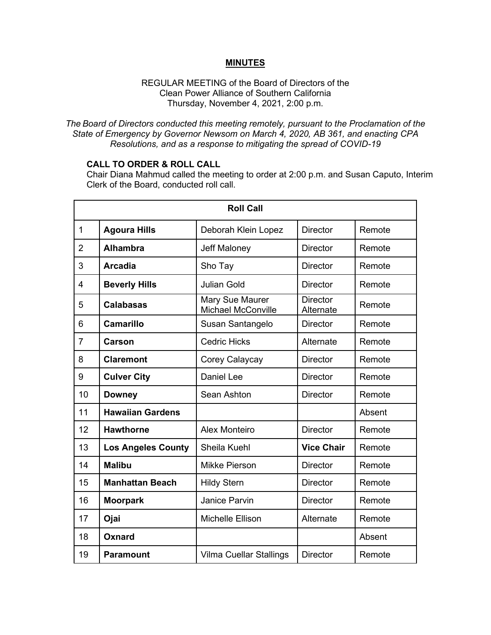## **MINUTES**

## REGULAR MEETING of the Board of Directors of the Clean Power Alliance of Southern California Thursday, November 4, 2021, 2:00 p.m.

*The Board of Directors conducted this meeting remotely, pursuant to the Proclamation of the State of Emergency by Governor Newsom on March 4, 2020, AB 361, and enacting CPA Resolutions, and as a response to mitigating the spread of COVID-19*

## **CALL TO ORDER & ROLL CALL**

Chair Diana Mahmud called the meeting to order at 2:00 p.m. and Susan Caputo, Interim Clerk of the Board, conducted roll call.

| <b>Roll Call</b> |                           |                                              |                              |        |
|------------------|---------------------------|----------------------------------------------|------------------------------|--------|
| $\mathbf 1$      | <b>Agoura Hills</b>       | Deborah Klein Lopez                          | <b>Director</b>              | Remote |
| $\overline{2}$   | <b>Alhambra</b>           | Jeff Maloney                                 | <b>Director</b>              | Remote |
| 3                | <b>Arcadia</b>            | Sho Tay                                      | <b>Director</b>              | Remote |
| 4                | <b>Beverly Hills</b>      | <b>Julian Gold</b>                           | <b>Director</b>              | Remote |
| 5                | <b>Calabasas</b>          | Mary Sue Maurer<br><b>Michael McConville</b> | <b>Director</b><br>Alternate | Remote |
| 6                | <b>Camarillo</b>          | Susan Santangelo                             | <b>Director</b>              | Remote |
| $\overline{7}$   | <b>Carson</b>             | <b>Cedric Hicks</b>                          | Alternate                    | Remote |
| 8                | <b>Claremont</b>          | Corey Calaycay                               | <b>Director</b>              | Remote |
| 9                | <b>Culver City</b>        | <b>Daniel Lee</b>                            | <b>Director</b>              | Remote |
| 10               | <b>Downey</b>             | Sean Ashton                                  | <b>Director</b>              | Remote |
| 11               | <b>Hawaiian Gardens</b>   |                                              |                              | Absent |
| 12               | <b>Hawthorne</b>          | <b>Alex Monteiro</b>                         | <b>Director</b>              | Remote |
| 13               | <b>Los Angeles County</b> | Sheila Kuehl                                 | <b>Vice Chair</b>            | Remote |
| 14               | <b>Malibu</b>             | <b>Mikke Pierson</b>                         | <b>Director</b>              | Remote |
| 15               | <b>Manhattan Beach</b>    | <b>Hildy Stern</b>                           | <b>Director</b>              | Remote |
| 16               | <b>Moorpark</b>           | <b>Janice Parvin</b>                         | <b>Director</b>              | Remote |
| 17               | Ojai                      | Michelle Ellison                             | Alternate                    | Remote |
| 18               | Oxnard                    |                                              |                              | Absent |
| 19               | <b>Paramount</b>          | Vilma Cuellar Stallings                      | <b>Director</b>              | Remote |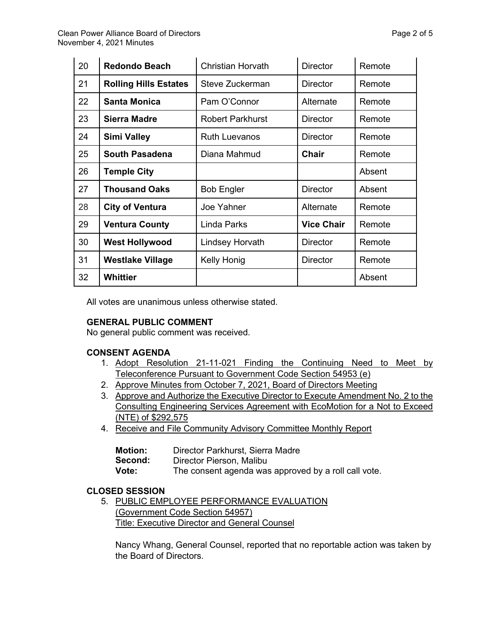| 20 | <b>Redondo Beach</b>         | <b>Christian Horvath</b> | <b>Director</b>   | Remote |
|----|------------------------------|--------------------------|-------------------|--------|
| 21 | <b>Rolling Hills Estates</b> | Steve Zuckerman          | <b>Director</b>   | Remote |
| 22 | <b>Santa Monica</b>          | Pam O'Connor             | Alternate         | Remote |
| 23 | <b>Sierra Madre</b>          | <b>Robert Parkhurst</b>  | <b>Director</b>   | Remote |
| 24 | <b>Simi Valley</b>           | <b>Ruth Luevanos</b>     | Director          | Remote |
| 25 | <b>South Pasadena</b>        | Diana Mahmud             | <b>Chair</b>      | Remote |
| 26 | <b>Temple City</b>           |                          |                   | Absent |
| 27 | <b>Thousand Oaks</b>         | <b>Bob Engler</b>        | <b>Director</b>   | Absent |
| 28 | <b>City of Ventura</b>       | Joe Yahner               | Alternate         | Remote |
| 29 | <b>Ventura County</b>        | <b>Linda Parks</b>       | <b>Vice Chair</b> | Remote |
| 30 | <b>West Hollywood</b>        | <b>Lindsey Horvath</b>   | <b>Director</b>   | Remote |
| 31 | <b>Westlake Village</b>      | Kelly Honig              | <b>Director</b>   | Remote |
| 32 | <b>Whittier</b>              |                          |                   | Absent |

All votes are unanimous unless otherwise stated.

# **GENERAL PUBLIC COMMENT**

No general public comment was received.

# **CONSENT AGENDA**

- 1. Adopt Resolution 21-11-021 Finding the Continuing Need to Meet by Teleconference Pursuant to Government Code Section 54953 (e)
- 2. Approve Minutes from October 7, 2021, Board of Directors Meeting
- 3. Approve and Authorize the Executive Director to Execute Amendment No. 2 to the Consulting Engineering Services Agreement with EcoMotion for a Not to Exceed (NTE) of \$292,575
- 4. Receive and File Community Advisory Committee Monthly Report

| <b>Motion:</b> | Director Parkhurst, Sierra Madre                     |
|----------------|------------------------------------------------------|
| Second:        | Director Pierson, Malibu                             |
| Vote:          | The consent agenda was approved by a roll call vote. |

# **CLOSED SESSION**

5. PUBLIC EMPLOYEE PERFORMANCE EVALUATION (Government Code Section 54957) Title: Executive Director and General Counsel

Nancy Whang, General Counsel, reported that no reportable action was taken by the Board of Directors.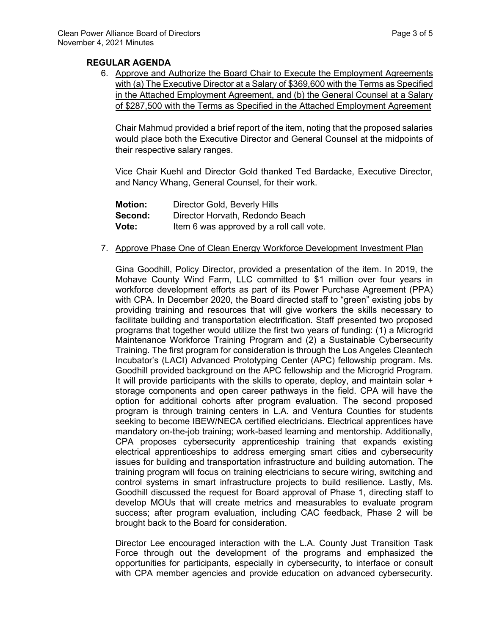## **REGULAR AGENDA**

6. Approve and Authorize the Board Chair to Execute the Employment Agreements with (a) The Executive Director at a Salary of \$369,600 with the Terms as Specified in the Attached Employment Agreement, and (b) the General Counsel at a Salary of \$287,500 with the Terms as Specified in the Attached Employment Agreement

Chair Mahmud provided a brief report of the item, noting that the proposed salaries would place both the Executive Director and General Counsel at the midpoints of their respective salary ranges.

Vice Chair Kuehl and Director Gold thanked Ted Bardacke, Executive Director, and Nancy Whang, General Counsel, for their work.

| <b>Motion:</b> | Director Gold, Beverly Hills             |
|----------------|------------------------------------------|
| Second:        | Director Horvath, Redondo Beach          |
| Vote:          | Item 6 was approved by a roll call vote. |

### 7. Approve Phase One of Clean Energy Workforce Development Investment Plan

Gina Goodhill, Policy Director, provided a presentation of the item. In 2019, the Mohave County Wind Farm, LLC committed to \$1 million over four years in workforce development efforts as part of its Power Purchase Agreement (PPA) with CPA. In December 2020, the Board directed staff to "green" existing jobs by providing training and resources that will give workers the skills necessary to facilitate building and transportation electrification. Staff presented two proposed programs that together would utilize the first two years of funding: (1) a Microgrid Maintenance Workforce Training Program and (2) a Sustainable Cybersecurity Training. The first program for consideration is through the Los Angeles Cleantech Incubator's (LACI) Advanced Prototyping Center (APC) fellowship program. Ms. Goodhill provided background on the APC fellowship and the Microgrid Program. It will provide participants with the skills to operate, deploy, and maintain solar + storage components and open career pathways in the field. CPA will have the option for additional cohorts after program evaluation. The second proposed program is through training centers in L.A. and Ventura Counties for students seeking to become IBEW/NECA certified electricians. Electrical apprentices have mandatory on-the-job training; work-based learning and mentorship. Additionally, CPA proposes cybersecurity apprenticeship training that expands existing electrical apprenticeships to address emerging smart cities and cybersecurity issues for building and transportation infrastructure and building automation. The training program will focus on training electricians to secure wiring, switching and control systems in smart infrastructure projects to build resilience. Lastly, Ms. Goodhill discussed the request for Board approval of Phase 1, directing staff to develop MOUs that will create metrics and measurables to evaluate program success; after program evaluation, including CAC feedback, Phase 2 will be brought back to the Board for consideration.

Director Lee encouraged interaction with the L.A. County Just Transition Task Force through out the development of the programs and emphasized the opportunities for participants, especially in cybersecurity, to interface or consult with CPA member agencies and provide education on advanced cybersecurity.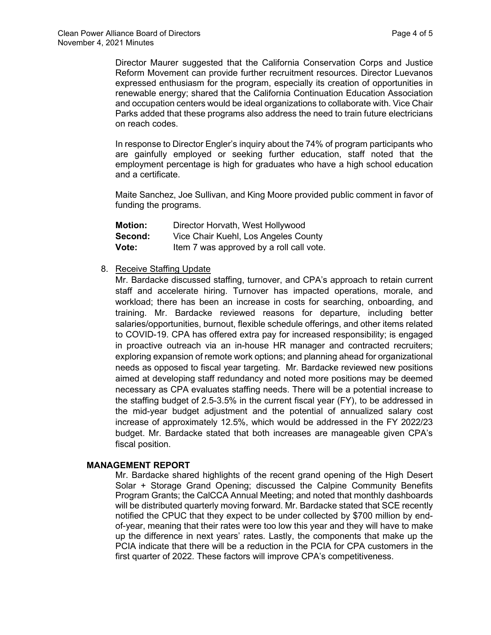Director Maurer suggested that the California Conservation Corps and Justice Reform Movement can provide further recruitment resources. Director Luevanos expressed enthusiasm for the program, especially its creation of opportunities in renewable energy; shared that the California Continuation Education Association and occupation centers would be ideal organizations to collaborate with. Vice Chair Parks added that these programs also address the need to train future electricians on reach codes.

In response to Director Engler's inquiry about the 74% of program participants who are gainfully employed or seeking further education, staff noted that the employment percentage is high for graduates who have a high school education and a certificate.

Maite Sanchez, Joe Sullivan, and King Moore provided public comment in favor of funding the programs.

| <b>Motion:</b> | Director Horvath, West Hollywood         |
|----------------|------------------------------------------|
| Second:        | Vice Chair Kuehl, Los Angeles County     |
| Vote:          | Item 7 was approved by a roll call vote. |

## 8. Receive Staffing Update

Mr. Bardacke discussed staffing, turnover, and CPA's approach to retain current staff and accelerate hiring. Turnover has impacted operations, morale, and workload; there has been an increase in costs for searching, onboarding, and training. Mr. Bardacke reviewed reasons for departure, including better salaries/opportunities, burnout, flexible schedule offerings, and other items related to COVID-19. CPA has offered extra pay for increased responsibility; is engaged in proactive outreach via an in-house HR manager and contracted recruiters; exploring expansion of remote work options; and planning ahead for organizational needs as opposed to fiscal year targeting. Mr. Bardacke reviewed new positions aimed at developing staff redundancy and noted more positions may be deemed necessary as CPA evaluates staffing needs. There will be a potential increase to the staffing budget of 2.5-3.5% in the current fiscal year (FY), to be addressed in the mid-year budget adjustment and the potential of annualized salary cost increase of approximately 12.5%, which would be addressed in the FY 2022/23 budget. Mr. Bardacke stated that both increases are manageable given CPA's fiscal position.

### **MANAGEMENT REPORT**

Mr. Bardacke shared highlights of the recent grand opening of the High Desert Solar + Storage Grand Opening; discussed the Calpine Community Benefits Program Grants; the CalCCA Annual Meeting; and noted that monthly dashboards will be distributed quarterly moving forward. Mr. Bardacke stated that SCE recently notified the CPUC that they expect to be under collected by \$700 million by endof-year, meaning that their rates were too low this year and they will have to make up the difference in next years' rates. Lastly, the components that make up the PCIA indicate that there will be a reduction in the PCIA for CPA customers in the first quarter of 2022. These factors will improve CPA's competitiveness.